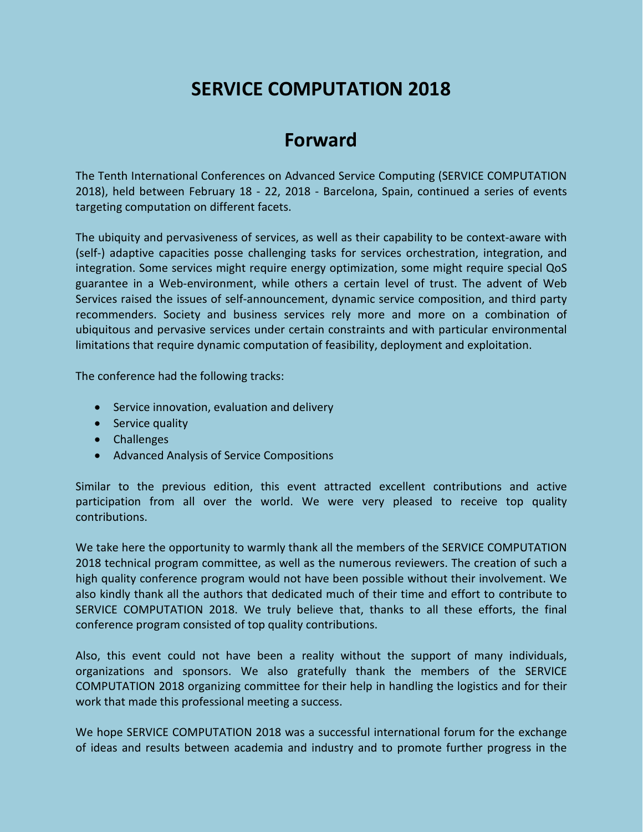# **SERVICE COMPUTATION 2018**

# **Forward**

The Tenth International Conferences on Advanced Service Computing (SERVICE COMPUTATION 2018), held between February 18 - 22, 2018 - Barcelona, Spain, continued a series of events targeting computation on different facets.

The ubiquity and pervasiveness of services, as well as their capability to be context-aware with (self-) adaptive capacities posse challenging tasks for services orchestration, integration, and integration. Some services might require energy optimization, some might require special QoS guarantee in a Web-environment, while others a certain level of trust. The advent of Web Services raised the issues of self-announcement, dynamic service composition, and third party recommenders. Society and business services rely more and more on a combination of ubiquitous and pervasive services under certain constraints and with particular environmental limitations that require dynamic computation of feasibility, deployment and exploitation.

The conference had the following tracks:

- Service innovation, evaluation and delivery
- Service quality
- Challenges
- Advanced Analysis of Service Compositions

Similar to the previous edition, this event attracted excellent contributions and active participation from all over the world. We were very pleased to receive top quality contributions.

We take here the opportunity to warmly thank all the members of the SERVICE COMPUTATION 2018 technical program committee, as well as the numerous reviewers. The creation of such a high quality conference program would not have been possible without their involvement. We also kindly thank all the authors that dedicated much of their time and effort to contribute to SERVICE COMPUTATION 2018. We truly believe that, thanks to all these efforts, the final conference program consisted of top quality contributions.

Also, this event could not have been a reality without the support of many individuals, organizations and sponsors. We also gratefully thank the members of the SERVICE COMPUTATION 2018 organizing committee for their help in handling the logistics and for their work that made this professional meeting a success.

We hope SERVICE COMPUTATION 2018 was a successful international forum for the exchange of ideas and results between academia and industry and to promote further progress in the